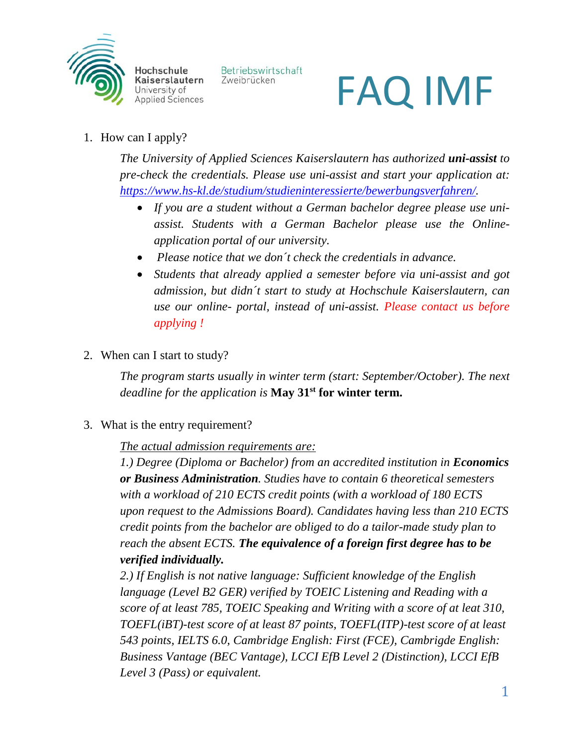

Betriebswirtschaft Zweibrücken

# FAQ IMF

1. How can I apply?

*The University of Applied Sciences Kaiserslautern has authorized uni-assist to pre-check the credentials. Please use uni-assist and start your application at: [https://www.hs-kl.de/studium/studieninteressierte/bewerbungsverfahren/.](https://www.hs-kl.de/studium/studieninteressierte/bewerbungsverfahren/)*

- *If you are a student without a German bachelor degree please use uniassist. Students with a German Bachelor please use the Onlineapplication portal of our university.*
- *Please notice that we don´t check the credentials in advance.*
- *Students that already applied a semester before via uni-assist and got admission, but didn´t start to study at Hochschule Kaiserslautern, can use our online- portal, instead of uni-assist. Please contact us before applying !*
- 2. When can I start to study?

*The program starts usually in winter term (start: September/October). The next deadline for the application is* **May 31st for winter term.**

3. What is the entry requirement?

*The actual admission requirements are:*

*1.) Degree (Diploma or Bachelor) from an accredited institution in Economics or Business Administration. Studies have to contain 6 theoretical semesters with a workload of 210 ECTS credit points (with a workload of 180 ECTS upon request to the Admissions Board). Candidates having less than 210 ECTS credit points from the bachelor are obliged to do a tailor-made study plan to reach the absent ECTS. The equivalence of a foreign first degree has to be verified individually.*

*2.) If English is not native language: Sufficient knowledge of the English language (Level B2 GER) verified by TOEIC Listening and Reading with a score of at least 785, TOEIC Speaking and Writing with a score of at leat 310, TOEFL(iBT)-test score of at least 87 points, TOEFL(ITP)-test score of at least 543 points, IELTS 6.0, Cambridge English: First (FCE), Cambrigde English: Business Vantage (BEC Vantage), LCCI EfB Level 2 (Distinction), LCCI EfB Level 3 (Pass) or equivalent.*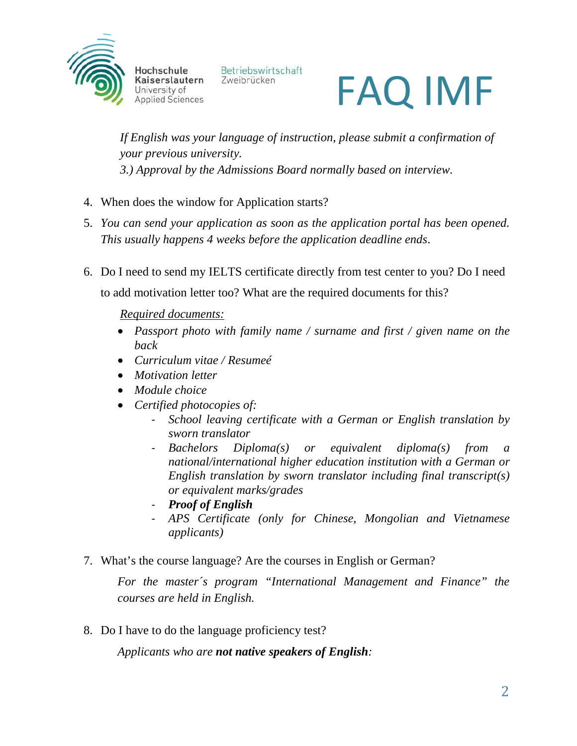

Betriebswirtschaft Zweibrücken



*If English was your language of instruction, please submit a confirmation of your previous university. 3.) Approval by the Admissions Board normally based on interview.*

- 4. When does the window for Application starts?
- 5. *You can send your application as soon as the application portal has been opened. This usually happens 4 weeks before the application deadline ends*.
- 6. Do I need to send my IELTS certificate directly from test center to you? Do I need to add motivation letter too? What are the required documents for this?

*Required documents:*

- *Passport photo with family name / surname and first / given name on the back*
- *Curriculum vitae / Resumeé*
- *Motivation letter*
- *Module choice*
- *Certified photocopies of:*
	- *School leaving certificate with a German or English translation by sworn translator*
	- *Bachelors Diploma(s) or equivalent diploma(s) from a national/international higher education institution with a German or English translation by sworn translator including final transcript(s) or equivalent marks/grades*
	- *Proof of English*
	- *APS Certificate (only for Chinese, Mongolian and Vietnamese applicants)*
- 7. What's the course language? Are the courses in English or German?

*For the master´s program "International Management and Finance" the courses are held in English.* 

8. Do I have to do the language proficiency test?

*Applicants who are not native speakers of English:*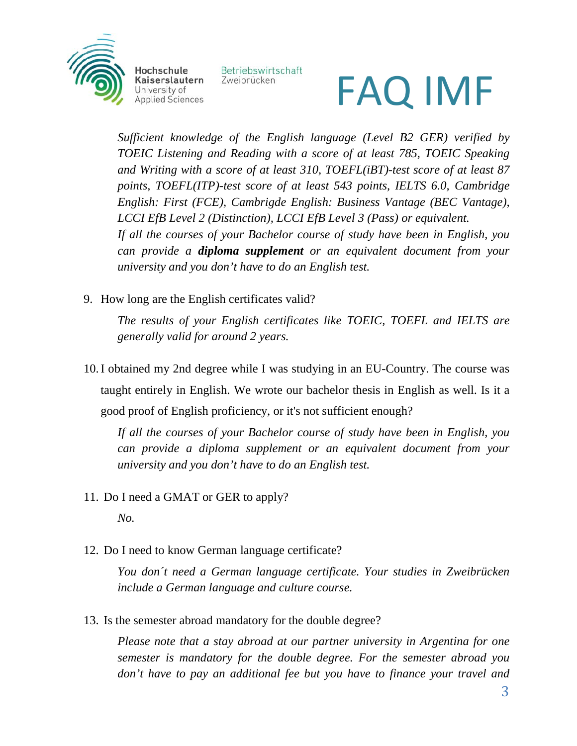

Betriebswirtschaft Zweibrücken

# FAQ IMF

*Sufficient knowledge of the English language (Level B2 GER) verified by TOEIC Listening and Reading with a score of at least 785, TOEIC Speaking and Writing with a score of at least 310, TOEFL(iBT)-test score of at least 87 points, TOEFL(ITP)-test score of at least 543 points, IELTS 6.0, Cambridge English: First (FCE), Cambrigde English: Business Vantage (BEC Vantage), LCCI EfB Level 2 (Distinction), LCCI EfB Level 3 (Pass) or equivalent. If all the courses of your Bachelor course of study have been in English, you can provide a diploma supplement or an equivalent document from your university and you don't have to do an English test.* 

9. How long are the English certificates valid?

*The results of your English certificates like TOEIC, TOEFL and IELTS are generally valid for around 2 years.* 

10.I obtained my 2nd degree while I was studying in an EU-Country. The course was taught entirely in English. We wrote our bachelor thesis in English as well. Is it a good proof of English proficiency, or it's not sufficient enough?

*If all the courses of your Bachelor course of study have been in English, you can provide a diploma supplement or an equivalent document from your university and you don't have to do an English test.*

11. Do I need a GMAT or GER to apply?

*No.*

12. Do I need to know German language certificate?

*You don´t need a German language certificate. Your studies in Zweibrücken include a German language and culture course.*

13. Is the semester abroad mandatory for the double degree?

*Please note that a stay abroad at our partner university in Argentina for one semester is mandatory for the double degree. For the semester abroad you don't have to pay an additional fee but you have to finance your travel and*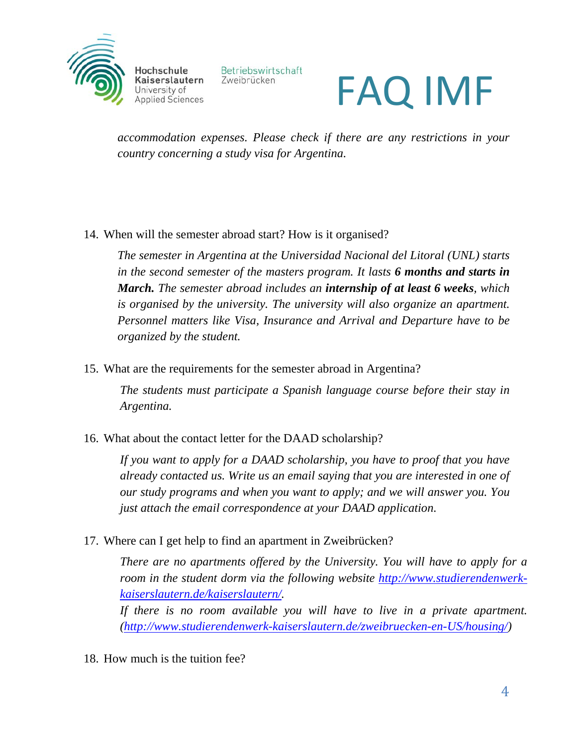

Betriebswirtschaft Zweibrücken

### FAQ IMF

*accommodation expenses. Please check if there are any restrictions in your country concerning a study visa for Argentina.*

14. When will the semester abroad start? How is it organised?

*The semester in Argentina at the Universidad Nacional del Litoral (UNL) starts in the second semester of the masters program. It lasts 6 months and starts in March. The semester abroad includes an internship of at least 6 weeks, which is organised by the university. The university will also organize an apartment. Personnel matters like Visa, Insurance and Arrival and Departure have to be organized by the student.*

15. What are the requirements for the semester abroad in Argentina?

*The students must participate a Spanish language course before their stay in Argentina.* 

16. What about the contact letter for the DAAD scholarship?

*If you want to apply for a DAAD scholarship, you have to proof that you have already contacted us. Write us an email saying that you are interested in one of our study programs and when you want to apply; and we will answer you. You just attach the email correspondence at your DAAD application.* 

17. Where can I get help to find an apartment in Zweibrücken?

*There are no apartments offered by the University. You will have to apply for a room in the student dorm via the following website [http://www.studierendenwerk](http://www.studierendenwerk-kaiserslautern.de/kaiserslautern/)[kaiserslautern.de/kaiserslautern/.](http://www.studierendenwerk-kaiserslautern.de/kaiserslautern/)* 

*If there is no room available you will have to live in a private apartment. [\(http://www.studierendenwerk-kaiserslautern.de/zweibruecken-en-US/housing/\)](http://www.studierendenwerk-kaiserslautern.de/zweibruecken-en-US/housing/)*

18. How much is the tuition fee?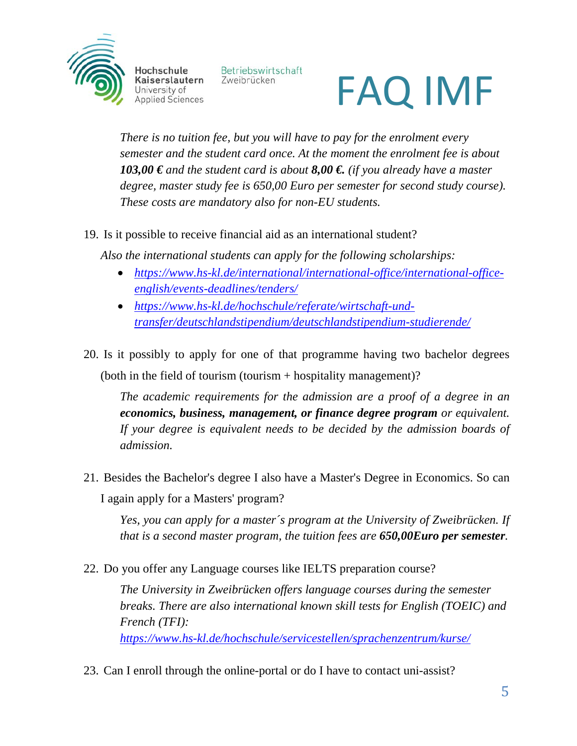

Betriebswirtschaft Zweibrücken

## FAQ IMF

*There is no tuition fee, but you will have to pay for the enrolment every semester and the student card once. At the moment the enrolment fee is about 103,00 € and the student card is about 8,00 €. (if you already have a master degree, master study fee is 650,00 Euro per semester for second study course). These costs are mandatory also for non-EU students.*

19. Is it possible to receive financial aid as an international student?

*Also the international students can apply for the following scholarships:*

- *[https://www.hs-kl.de/international/international-office/international-office](https://www.hs-kl.de/international/international-office/international-office-english/events-deadlines/tenders/)[english/events-deadlines/tenders/](https://www.hs-kl.de/international/international-office/international-office-english/events-deadlines/tenders/)*
- *[https://www.hs-kl.de/hochschule/referate/wirtschaft-und](https://www.hs-kl.de/hochschule/referate/wirtschaft-und-transfer/deutschlandstipendium/deutschlandstipendium-studierende/)[transfer/deutschlandstipendium/deutschlandstipendium-studierende/](https://www.hs-kl.de/hochschule/referate/wirtschaft-und-transfer/deutschlandstipendium/deutschlandstipendium-studierende/)*
- 20. Is it possibly to apply for one of that programme having two bachelor degrees (both in the field of tourism (tourism + hospitality management)?

*The academic requirements for the admission are a proof of a degree in an economics, business, management, or finance degree program or equivalent. If your degree is equivalent needs to be decided by the admission boards of admission.*

21. Besides the Bachelor's degree I also have a Master's Degree in Economics. So can I again apply for a Masters' program?

*Yes, you can apply for a master´s program at the University of Zweibrücken. If that is a second master program, the tuition fees are 650,00Euro per semester.*

22. Do you offer any Language courses like IELTS preparation course?

*The University in Zweibrücken offers language courses during the semester breaks. There are also international known skill tests for English (TOEIC) and French (TFI): <https://www.hs-kl.de/hochschule/servicestellen/sprachenzentrum/kurse/>*

23. Can I enroll through the online-portal or do I have to contact uni-assist?